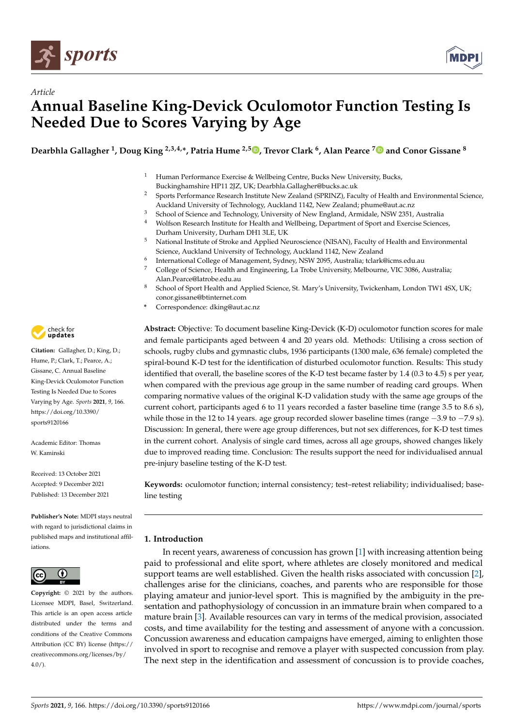



# *Article* **Annual Baseline King-Devick Oculomotor Function Testing Is Needed Due to Scores Varying by Age**

**Dearbhla Gallagher <sup>1</sup> , Doug King 2,3,4,\*, Patria Hume 2,5 [,](https://orcid.org/0000-0003-1847-8128) Trevor Clark <sup>6</sup> , Alan Pearce [7](https://orcid.org/0000-0002-9264-9880) and Conor Gissane <sup>8</sup>**

- <sup>1</sup> Human Performance Exercise & Wellbeing Centre, Bucks New University, Bucks, Buckinghamshire HP11 2JZ, UK; Dearbhla.Gallagher@bucks.ac.uk
- <sup>2</sup> Sports Performance Research Institute New Zealand (SPRINZ), Faculty of Health and Environmental Science, Auckland University of Technology, Auckland 1142, New Zealand; phume@aut.ac.nz
- <sup>3</sup> School of Science and Technology, University of New England, Armidale, NSW 2351, Australia<br><sup>4</sup> Welfson Research Institute for Health and Wellbeing, Department of Sport and Exercise Science
- <sup>4</sup> Wolfson Research Institute for Health and Wellbeing, Department of Sport and Exercise Sciences, Durham University, Durham DH1 3LE, UK
- <sup>5</sup> National Institute of Stroke and Applied Neuroscience (NISAN), Faculty of Health and Environmental Science, Auckland University of Technology, Auckland 1142, New Zealand
- 6 International College of Management, Sydney, NSW 2095, Australia; tclark@icms.edu.au
- <sup>7</sup> College of Science, Health and Engineering, La Trobe University, Melbourne, VIC 3086, Australia; Alan.Pearce@latrobe.edu.au
- 8 School of Sport Health and Applied Science, St. Mary's University, Twickenham, London TW1 4SX, UK; conor.gissane@btinternet.com
- **\*** Correspondence: dking@aut.ac.nz

**Abstract:** Objective: To document baseline King-Devick (K-D) oculomotor function scores for male and female participants aged between 4 and 20 years old. Methods: Utilising a cross section of schools, rugby clubs and gymnastic clubs, 1936 participants (1300 male, 636 female) completed the spiral-bound K-D test for the identification of disturbed oculomotor function. Results: This study identified that overall, the baseline scores of the K-D test became faster by 1.4 (0.3 to 4.5) s per year, when compared with the previous age group in the same number of reading card groups. When comparing normative values of the original K-D validation study with the same age groups of the current cohort, participants aged 6 to 11 years recorded a faster baseline time (range 3.5 to 8.6 s), while those in the 12 to 14 years. age group recorded slower baseline times (range −3.9 to −7.9 s). Discussion: In general, there were age group differences, but not sex differences, for K-D test times in the current cohort. Analysis of single card times, across all age groups, showed changes likely due to improved reading time. Conclusion: The results support the need for individualised annual pre-injury baseline testing of the K-D test.

**Keywords:** oculomotor function; internal consistency; test–retest reliability; individualised; baseline testing

## **1. Introduction**

In recent years, awareness of concussion has grown [\[1\]](#page-10-0) with increasing attention being paid to professional and elite sport, where athletes are closely monitored and medical support teams are well established. Given the health risks associated with concussion [\[2\]](#page-10-1), challenges arise for the clinicians, coaches, and parents who are responsible for those playing amateur and junior-level sport. This is magnified by the ambiguity in the presentation and pathophysiology of concussion in an immature brain when compared to a mature brain [\[3\]](#page-10-2). Available resources can vary in terms of the medical provision, associated costs, and time availability for the testing and assessment of anyone with a concussion. Concussion awareness and education campaigns have emerged, aiming to enlighten those involved in sport to recognise and remove a player with suspected concussion from play. The next step in the identification and assessment of concussion is to provide coaches,



**Citation:** Gallagher, D.; King, D.; Hume, P.; Clark, T.; Pearce, A.; Gissane, C. Annual Baseline King-Devick Oculomotor Function Testing Is Needed Due to Scores Varying by Age. *Sports* **2021**, *9*, 166. [https://doi.org/10.3390/](https://doi.org/10.3390/sports9120166) [sports9120166](https://doi.org/10.3390/sports9120166)

Academic Editor: Thomas W. Kaminski

Received: 13 October 2021 Accepted: 9 December 2021 Published: 13 December 2021

**Publisher's Note:** MDPI stays neutral with regard to jurisdictional claims in published maps and institutional affiliations.



**Copyright:** © 2021 by the authors. Licensee MDPI, Basel, Switzerland. This article is an open access article distributed under the terms and conditions of the Creative Commons Attribution (CC BY) license (https:/[/](https://creativecommons.org/licenses/by/4.0/) [creativecommons.org/licenses/by/](https://creativecommons.org/licenses/by/4.0/)  $4.0/$ ).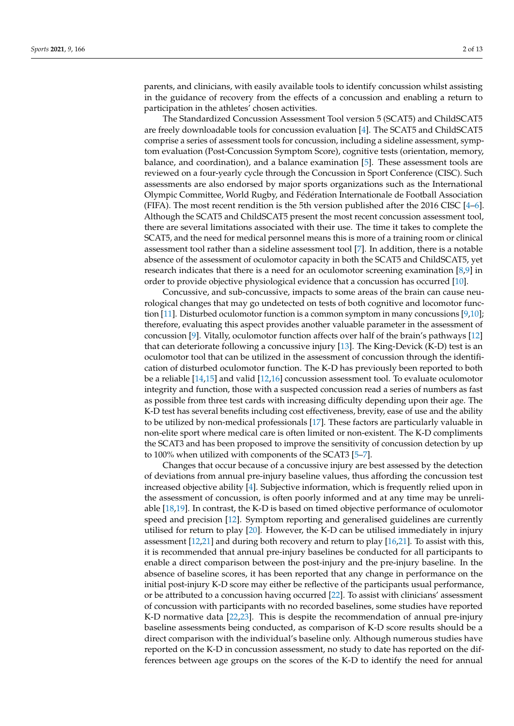parents, and clinicians, with easily available tools to identify concussion whilst assisting in the guidance of recovery from the effects of a concussion and enabling a return to participation in the athletes' chosen activities.

The Standardized Concussion Assessment Tool version 5 (SCAT5) and ChildSCAT5 are freely downloadable tools for concussion evaluation [\[4\]](#page-10-3). The SCAT5 and ChildSCAT5 comprise a series of assessment tools for concussion, including a sideline assessment, symptom evaluation (Post-Concussion Symptom Score), cognitive tests (orientation, memory, balance, and coordination), and a balance examination [\[5\]](#page-11-0). These assessment tools are reviewed on a four-yearly cycle through the Concussion in Sport Conference (CISC). Such assessments are also endorsed by major sports organizations such as the International Olympic Committee, World Rugby, and Fédération Internationale de Football Association (FIFA). The most recent rendition is the 5th version published after the 2016 CISC  $[4-6]$  $[4-6]$ . Although the SCAT5 and ChildSCAT5 present the most recent concussion assessment tool, there are several limitations associated with their use. The time it takes to complete the SCAT5, and the need for medical personnel means this is more of a training room or clinical assessment tool rather than a sideline assessment tool [\[7\]](#page-11-2). In addition, there is a notable absence of the assessment of oculomotor capacity in both the SCAT5 and ChildSCAT5, yet research indicates that there is a need for an oculomotor screening examination [\[8,](#page-11-3)[9\]](#page-11-4) in order to provide objective physiological evidence that a concussion has occurred [\[10\]](#page-11-5).

Concussive, and sub-concussive, impacts to some areas of the brain can cause neurological changes that may go undetected on tests of both cognitive and locomotor function [\[11\]](#page-11-6). Disturbed oculomotor function is a common symptom in many concussions [\[9](#page-11-4)[,10\]](#page-11-5); therefore, evaluating this aspect provides another valuable parameter in the assessment of concussion [\[9\]](#page-11-4). Vitally, oculomotor function affects over half of the brain's pathways [\[12\]](#page-11-7) that can deteriorate following a concussive injury [\[13\]](#page-11-8). The King-Devick (K-D) test is an oculomotor tool that can be utilized in the assessment of concussion through the identification of disturbed oculomotor function. The K-D has previously been reported to both be a reliable [\[14](#page-11-9)[,15\]](#page-11-10) and valid [\[12,](#page-11-7)[16\]](#page-11-11) concussion assessment tool. To evaluate oculomotor integrity and function, those with a suspected concussion read a series of numbers as fast as possible from three test cards with increasing difficulty depending upon their age. The K-D test has several benefits including cost effectiveness, brevity, ease of use and the ability to be utilized by non-medical professionals [\[17\]](#page-11-12). These factors are particularly valuable in non-elite sport where medical care is often limited or non-existent. The K-D compliments the SCAT3 and has been proposed to improve the sensitivity of concussion detection by up to 100% when utilized with components of the SCAT3 [\[5–](#page-11-0)[7\]](#page-11-2).

Changes that occur because of a concussive injury are best assessed by the detection of deviations from annual pre-injury baseline values, thus affording the concussion test increased objective ability [\[4\]](#page-10-3). Subjective information, which is frequently relied upon in the assessment of concussion, is often poorly informed and at any time may be unreliable [\[18,](#page-11-13)[19\]](#page-11-14). In contrast, the K-D is based on timed objective performance of oculomotor speed and precision [\[12\]](#page-11-7). Symptom reporting and generalised guidelines are currently utilised for return to play [\[20\]](#page-11-15). However, the K-D can be utilised immediately in injury assessment [\[12](#page-11-7)[,21\]](#page-11-16) and during both recovery and return to play [\[16,](#page-11-11)[21\]](#page-11-16). To assist with this, it is recommended that annual pre-injury baselines be conducted for all participants to enable a direct comparison between the post-injury and the pre-injury baseline. In the absence of baseline scores, it has been reported that any change in performance on the initial post-injury K-D score may either be reflective of the participants usual performance, or be attributed to a concussion having occurred [\[22\]](#page-11-17). To assist with clinicians' assessment of concussion with participants with no recorded baselines, some studies have reported K-D normative data [\[22](#page-11-17)[,23\]](#page-11-18). This is despite the recommendation of annual pre-injury baseline assessments being conducted, as comparison of K-D score results should be a direct comparison with the individual's baseline only. Although numerous studies have reported on the K-D in concussion assessment, no study to date has reported on the differences between age groups on the scores of the K-D to identify the need for annual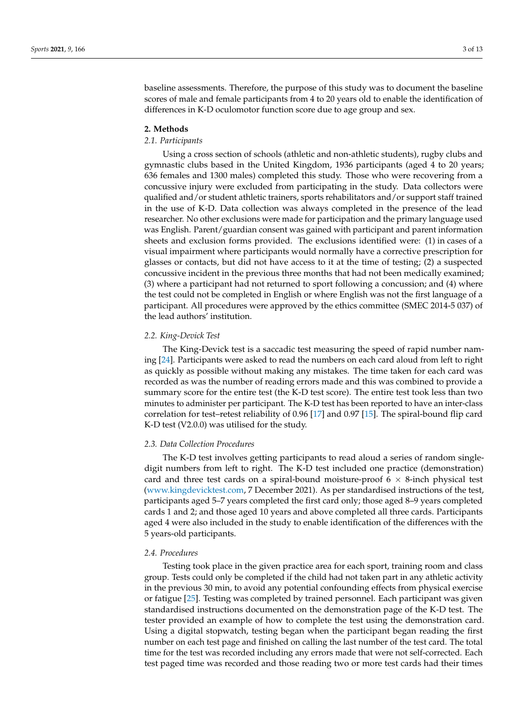baseline assessments. Therefore, the purpose of this study was to document the baseline scores of male and female participants from 4 to 20 years old to enable the identification of differences in K-D oculomotor function score due to age group and sex.

#### **2. Methods**

### *2.1. Participants*

Using a cross section of schools (athletic and non-athletic students), rugby clubs and gymnastic clubs based in the United Kingdom, 1936 participants (aged 4 to 20 years; 636 females and 1300 males) completed this study. Those who were recovering from a concussive injury were excluded from participating in the study. Data collectors were qualified and/or student athletic trainers, sports rehabilitators and/or support staff trained in the use of K-D. Data collection was always completed in the presence of the lead researcher. No other exclusions were made for participation and the primary language used was English. Parent/guardian consent was gained with participant and parent information sheets and exclusion forms provided. The exclusions identified were: (1) in cases of a visual impairment where participants would normally have a corrective prescription for glasses or contacts, but did not have access to it at the time of testing; (2) a suspected concussive incident in the previous three months that had not been medically examined; (3) where a participant had not returned to sport following a concussion; and (4) where the test could not be completed in English or where English was not the first language of a participant. All procedures were approved by the ethics committee (SMEC 2014-5 037) of the lead authors' institution.

#### *2.2. King-Devick Test*

The King-Devick test is a saccadic test measuring the speed of rapid number naming [\[24\]](#page-11-19). Participants were asked to read the numbers on each card aloud from left to right as quickly as possible without making any mistakes. The time taken for each card was recorded as was the number of reading errors made and this was combined to provide a summary score for the entire test (the K-D test score). The entire test took less than two minutes to administer per participant. The K-D test has been reported to have an inter-class correlation for test–retest reliability of 0.96 [\[17\]](#page-11-12) and 0.97 [\[15\]](#page-11-10). The spiral-bound flip card K-D test (V2.0.0) was utilised for the study.

#### *2.3. Data Collection Procedures*

The K-D test involves getting participants to read aloud a series of random singledigit numbers from left to right. The K-D test included one practice (demonstration) card and three test cards on a spiral-bound moisture-proof  $6 \times 8$ -inch physical test [\(www.kingdevicktest.com,](www.kingdevicktest.com) 7 December 2021). As per standardised instructions of the test, participants aged 5–7 years completed the first card only; those aged 8–9 years completed cards 1 and 2; and those aged 10 years and above completed all three cards. Participants aged 4 were also included in the study to enable identification of the differences with the 5 years-old participants.

#### *2.4. Procedures*

Testing took place in the given practice area for each sport, training room and class group. Tests could only be completed if the child had not taken part in any athletic activity in the previous 30 min, to avoid any potential confounding effects from physical exercise or fatigue [\[25\]](#page-11-20). Testing was completed by trained personnel. Each participant was given standardised instructions documented on the demonstration page of the K-D test. The tester provided an example of how to complete the test using the demonstration card. Using a digital stopwatch, testing began when the participant began reading the first number on each test page and finished on calling the last number of the test card. The total time for the test was recorded including any errors made that were not self-corrected. Each test paged time was recorded and those reading two or more test cards had their times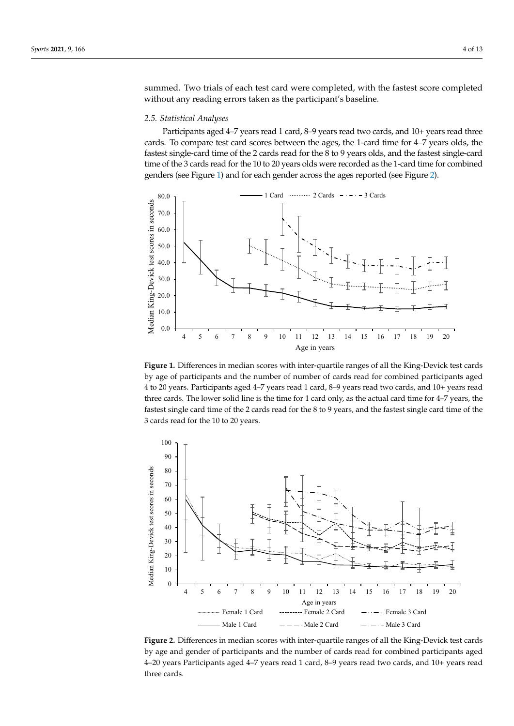summed. Two trials of each test card were completed, with the fastest score completed without any reading errors taken as the participant's baseline. *2.5. Statistical Analyses 2.5. Statistical Analyses* 

Each test paged time was recorded and those reading two or more test cards had their

Each test page of time was recorded and those reading two or more test cards had those reading two or more test cards had the interaction of the interaction  $\mathcal{L}_\mathbf{r}$ 

## 2.5. Statistical Analyses **After agents agents agents agents agents** agents agents agents agents agents agents agents agents agents agents agents agents agents agents agents agents agents agents agents agents agents agents

Participants aged 4-7 years read 1 card, 8-9 years read two cards, and 10+ years read three cards. To compare test card scores between the ages, the 1-card time for 4–7 years olds, the fastest single-card time of the 2 cards read for the 8 to 9 years olds, and the fastest single-card time of the 3 cards read for the 10 to 20 years olds were recorded as the 1-card time for combined genders (see Figure [1\)](#page-3-0) and for each gender across the ages reported (see Figure [2\)](#page-3-1). 2).

<span id="page-3-0"></span>

by age of participants and the number of number of cards read for combined participants aged 4 to 20 years. Participants aged 4–7 years read 1 card, 8–9 years read two cards, and 10+ years read three cards. The lower solid line is the time for 1 card only, as the actual card time for 4–7 years, the The lower solid line is the time for the time for 1 card only, as the actual card time for 4–7 years, the fast fastest single card time of the 2 cards read for the 8 to 9 years, and the fastest single card time of the 3 cards read for the 10 to 20 years. **Figure 1.** Differences in median scores with inter-quartile ranges of all the King-Devick test cards resect single card time of the 2 cards read for the 8 to 9 years, and the fastest single card time

<span id="page-3-1"></span>

**Figure 2.** Differences in median scores with inter-quartile ranges of all the King-Devick test cards by age and gender of participants and the number of cards read for combined participants aged 4–20 years Participants aged 4–7 years read 1 card, 8–9 years read two cards, and 10+ years read three cards.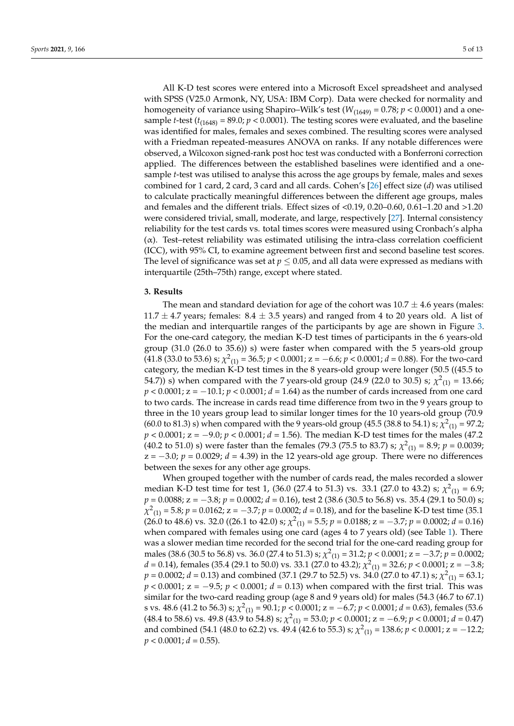All K-D test scores were entered into a Microsoft Excel spreadsheet and analysed with SPSS (V25.0 Armonk, NY, USA: IBM Corp). Data were checked for normality and homogeneity of variance using Shapiro–Wilk's test ( $W_{(1649)} = 0.78$ ;  $p < 0.0001$ ) and a onesample *t*-test ( $t_{(1648)}$  = 89.0;  $p$  < 0.0001). The testing scores were evaluated, and the baseline was identified for males, females and sexes combined. The resulting scores were analysed with a Friedman repeated-measures ANOVA on ranks. If any notable differences were observed, a Wilcoxon signed-rank post hoc test was conducted with a Bonferroni correction applied. The differences between the established baselines were identified and a onesample *t*-test was utilised to analyse this across the age groups by female, males and sexes combined for 1 card, 2 card, 3 card and all cards. Cohen's [\[26\]](#page-11-21) effect size (*d*) was utilised to calculate practically meaningful differences between the different age groups, males and females and the different trials. Effect sizes of <0.19, 0.20–0.60, 0.61–1.20 and >1.20 were considered trivial, small, moderate, and large, respectively [\[27\]](#page-11-22). Internal consistency reliability for the test cards vs. total times scores were measured using Cronbach's alpha  $(\alpha)$ . Test–retest reliability was estimated utilising the intra-class correlation coefficient (ICC), with 95% CI, to examine agreement between first and second baseline test scores. The level of significance was set at  $p \leq 0.05$ , and all data were expressed as medians with interquartile (25th–75th) range, except where stated.

#### **3. Results**

The mean and standard deviation for age of the cohort was  $10.7 \pm 4.6$  years (males: 11.7  $\pm$  4.7 years; females: 8.4  $\pm$  3.5 years) and ranged from 4 to 20 years old. A list of the median and interquartile ranges of the participants by age are shown in Figure [3.](#page-5-0) For the one-card category, the median K-D test times of participants in the 6 years-old group (31.0 (26.0 to 35.6)) s) were faster when compared with the 5 years-old group (41.8 (33.0 to 53.6) s;  $\chi^2_{(1)} = 36.5$ ;  $p < 0.0001$ ;  $z = -6.6$ ;  $p < 0.0001$ ;  $d = 0.88$ ). For the two-card category, the median K-D test times in the 8 years-old group were longer (50.5 ((45.5 to 54.7)) s) when compared with the 7 years-old group (24.9 (22.0 to 30.5) s;  $\chi^2_{(1)} = 13.66$ ; *p* < 0.0001; *z* = −10.1; *p* < 0.0001; *d* = 1.64) as the number of cards increased from one card to two cards. The increase in cards read time difference from two in the 9 years group to three in the 10 years group lead to similar longer times for the 10 years-old group (70.9 (60.0 to 81.3) s) when compared with the 9 years-old group (45.5 (38.8 to 54.1) s;  $\chi^2_{(1)} = 97.2$ ; *p* < 0.0001; *z* = −9.0; *p* < 0.0001; *d* = 1.56). The median K-D test times for the males (47.2 (40.2 to 51.0) s) were faster than the females (79.3 (75.5 to 83.7) s;  $\chi^2_{(1)} = 8.9$ ;  $p = 0.0039$ ; z = −3.0; *p* = 0.0029; *d* = 4.39) in the 12 years-old age group. There were no differences between the sexes for any other age groups.

When grouped together with the number of cards read, the males recorded a slower median K-D test time for test 1, (36.0 (27.4 to 51.3) vs. 33.1 (27.0 to 43.2) s;  $\chi^2_{(1)} = 6.9$ ; *p* = 0.0088; *z* = −3.8; *p* = 0.0002; *d* = 0.16), test 2 (38.6 (30.5 to 56.8) vs. 35.4 (29.1 to 50.0) s; *χ*<sup>2</sup><sub>(1)</sub> = 5.8; *p* = 0.0162; *z* = −3.7; *p* = 0.0002; *d* = 0.18), and for the baseline K-D test time (35.1)  $(26.0 \text{ to } 48.6) \text{ vs. } 32.0 \ ((26.1 \text{ to } 42.0) \text{ s}; \ \chi^2_{(1)} = 5.5; \ p = 0.0188; \ z = -3.7; \ p = 0.0002; \ d = 0.16)$ when compared with females using one card (ages 4 to 7 years old) (see Table [1\)](#page-6-0). There was a slower median time recorded for the second trial for the one-card reading group for males (38.6 (30.5 to 56.8) vs. 36.0 (27.4 to 51.3) s;  $\chi^2$ <sub>(1)</sub> = 31.2; *p* < 0.0001; z = −3.7; *p* = 0.0002;  $d = 0.14$ ), females (35.4 (29.1 to 50.0) vs. 33.1 (27.0 to 43.2);  $\chi^2_{(1)} = 32.6$ ;  $p < 0.0001$ ;  $z = -3.8$ ;  $p = 0.0002; d = 0.13$ ) and combined (37.1 (29.7 to 52.5) vs. 34.0 (27.0 to 47.1) s;  $\chi^2_{(1)} = 63.1;$ *p* < 0.0001; *z* = −9.5; *p* < 0.0001; *d* = 0.13) when compared with the first trial. This was similar for the two-card reading group (age 8 and 9 years old) for males (54.3 (46.7 to 67.1) s vs. 48.6 (41.2 to 56.3) s;  $χ²_{(1)}$  = 90.1; *p* < 0.0001; z = −6.7; *p* < 0.0001; *d* = 0.63), females (53.6 (48.4 to 58.6) vs. 49.8 (43.9 to 54.8) s;  $\chi^2_{(1)} = 53.0$ ;  $p < 0.0001$ ;  $z = -6.9$ ;  $p < 0.0001$ ;  $d = 0.47$ ) and combined (54.1 (48.0 to 62.2) vs. 49.4 (42.6 to 55.3) s;  $\chi^2_{(1)}$  = 138.6;  $p < 0.0001$ ; z =  $-12.2$ ;  $p < 0.0001; d = 0.55$ ).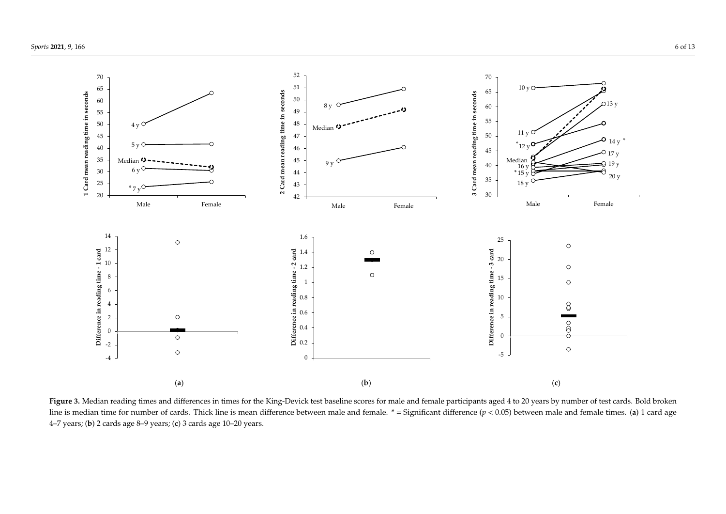

<span id="page-5-0"></span>Figure 3. Median reading times and differences in times for the King-Devick test baseline scores for male and female participants aged 4 to 20 years by number of test cards. Bold broken line is median time for number of cards. Thick line is mean difference between male and female. \* = Significant difference (*p* < 0.05) between male and female times. (**a**) 1 card age 4–7 years; (**b**) 2 cards age 8–9 years; (**c**) 3 cards age 10–20 years.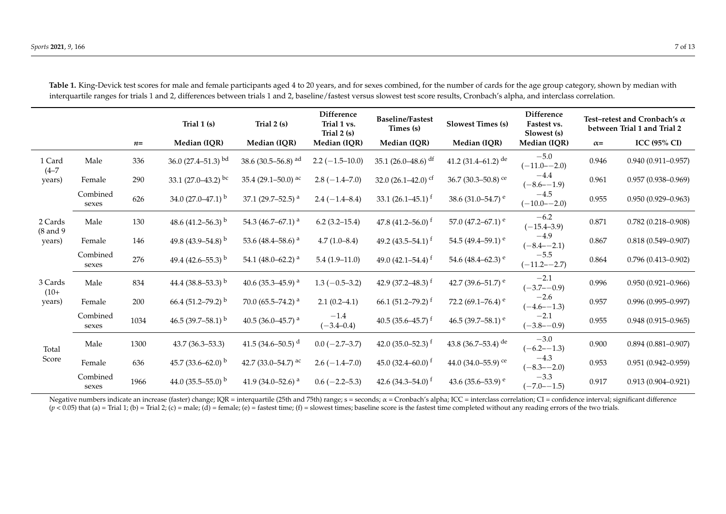|                                   |                   |      | Trial 1 (s)                        | Trial 2 (s)                        | Difference<br>Trial 1 vs.<br>Trial $2(s)$ | <b>Baseline/Fastest</b><br>Times (s) | <b>Slowest Times (s)</b>           | Difference<br>Fastest vs.<br>Slowest (s) |            | Test-retest and Cronbach's $\alpha$<br>between Trial 1 and Trial 2 |  |
|-----------------------------------|-------------------|------|------------------------------------|------------------------------------|-------------------------------------------|--------------------------------------|------------------------------------|------------------------------------------|------------|--------------------------------------------------------------------|--|
|                                   |                   | $n=$ | Median (IQR)                       | Median (IQR)                       | Median (IQR)                              | Median (IQR)                         | Median (IQR)                       | Median (IQR)                             | $\alpha =$ | <b>ICC (95% CI)</b>                                                |  |
| 1 Card<br>$(4 - 7)$<br>years)     | Male              | 336  | 36.0 $(27.4 - 51.3)$ <sup>bd</sup> | 38.6 $(30.5 - 56.8)$ <sup>ad</sup> | $2.2 (-1.5 - 10.0)$                       | 35.1 $(26.0-48.6)$ df                | 41.2 (31.4–61.2) de                | $-5.0$<br>$(-11.0 - -2.0)$               | 0.946      | $0.940(0.911 - 0.957)$                                             |  |
|                                   | Female            | 290  | 33.1 $(27.0-43.2)$ bc              | 35.4 (29.1-50.0) ac                | $2.8(-1.4-7.0)$                           | 32.0 $(26.1 - 42.0)$ cf              | 36.7 (30.3-50.8) ce                | $-4.4$<br>$(-8.6 - -1.9)$                | 0.961      | $0.957(0.938 - 0.969)$                                             |  |
|                                   | Combined<br>sexes | 626  | 34.0 $(27.0-47.1)$ <sup>b</sup>    | 37.1 (29.7–52.5) <sup>a</sup>      | $2.4 (-1.4 - 8.4)$                        | 33.1 $(26.1 - 45.1)$ <sup>f</sup>    | 38.6 (31.0–54.7) $^{\circ}$        | $-4.5$<br>$(-10.0 - 2.0)$                | 0.955      | $0.950(0.929 - 0.963)$                                             |  |
| 2 Cards<br>$(8$ and $9$<br>years) | Male              | 130  | 48.6 (41.2–56.3) <sup>b</sup>      | 54.3 (46.7–67.1) <sup>a</sup>      | $6.2(3.2-15.4)$                           | 47.8 $(41.2 - 56.0)$ <sup>f</sup>    | 57.0 $(47.2 - 67.1)$ <sup>e</sup>  | $-6.2$<br>$(-15.4 - 3.9)$                | 0.871      | $0.782(0.218 - 0.908)$                                             |  |
|                                   | Female            | 146  | 49.8 (43.9–54.8) $^{\rm b}$        | 53.6 (48.4–58.6) <sup>a</sup>      | $4.7(1.0-8.4)$                            | 49.2 $(43.5-54.1)$ <sup>f</sup>      | 54.5 (49.4–59.1) $^{\circ}$        | $-4.9$<br>$(-8.4 - -2.1)$                | 0.867      | $0.818(0.549 - 0.907)$                                             |  |
|                                   | Combined<br>sexes | 276  | 49.4 (42.6–55.3) <sup>b</sup>      | 54.1 (48.0–62.2) <sup>a</sup>      | $5.4(1.9-11.0)$                           | 49.0 $(42.1 - 54.4)$ <sup>t</sup>    | 54.6 (48.4–62.3) $^{\circ}$        | $-5.5$<br>$(-11.2 - -2.7)$               | 0.864      | $0.796(0.413 - 0.902)$                                             |  |
| 3 Cards<br>$(10+$<br>years)       | Male              | 834  | 44.4 (38.8–53.3) $^{\rm b}$        | 40.6 (35.3–45.9) <sup>a</sup>      | $1.3(-0.5-3.2)$                           | 42.9 $(37.2 - 48.3)$ f               | 42.7 (39.6–51.7) $^{\circ}$        | $-2.1$<br>$(-3.7 - -0.9)$                | 0.996      | $0.950(0.921 - 0.966)$                                             |  |
|                                   | Female            | 200  | 66.4 $(51.2 - 79.2)^{b}$           | 70.0 (65.5–74.2) <sup>a</sup>      | $2.1(0.2-4.1)$                            | 66.1 $(51.2 - 79.2)$ <sup>f</sup>    | 72.2 (69.1–76.4) $^{\circ}$        | $-2.6$<br>$(-4.6 - -1.3)$                | 0.957      | $0.996(0.995 - 0.997)$                                             |  |
|                                   | Combined<br>sexes | 1034 | 46.5 (39.7–58.1) $^{\rm b}$        | 40.5 (36.0–45.7) <sup>a</sup>      | $-1.4$<br>$(-3.4 - 0.4)$                  | 40.5 $(35.6 - 45.7)^{t}$             | 46.5 (39.7–58.1) <sup>e</sup>      | $-2.1$<br>$(-3.8 - -0.9)$                | 0.955      | $0.948(0.915-0.965)$                                               |  |
| Total<br>Score                    | Male              | 1300 | 43.7 (36.3-53.3)                   | 41.5 (34.6–50.5) <sup>d</sup>      | $0.0 (-2.7 - 3.7)$                        | 42.0 $(35.0 - 52.3)$ f               | 43.8 (36.7–53.4) de                | $-3.0$<br>$(-6.2 - -1.3)$                | 0.900      | $0.894(0.881 - 0.907)$                                             |  |
|                                   | Female            | 636  | 45.7 (33.6–62.0) <sup>b</sup>      | 42.7 (33.0–54.7) ac                | $2.6(-1.4-7.0)$                           | 45.0 $(32.4 - 60.0)$ <sup>f</sup>    | 44.0 $(34.0 - 55.9)$ <sup>ce</sup> | $-4.3$<br>$(-8.3 - -2.0)$                | 0.953      | $0.951(0.942 - 0.959)$                                             |  |
|                                   | Combined<br>sexes | 1966 | 44.0 $(35.5-55.0)$ <sup>b</sup>    | 41.9 (34.0–52.6) <sup>a</sup>      | $0.6$ (-2.2-5.3)                          | 42.6 $(34.3 - 54.0)$ f               | 43.6 (35.6–53.9) $^{\circ}$        | $-3.3$<br>$(-7.0 - -1.5)$                | 0.917      | $0.913(0.904 - 0.921)$                                             |  |

Table 1. King-Devick test scores for male and female participants aged 4 to 20 years, and for sexes combined, for the number of cards for the age group category, shown by median with interquartile ranges for trials 1 and 2, differences between trials 1 and 2, baseline/fastest versus slowest test score results, Cronbach's alpha, and interclass correlation.

<span id="page-6-0"></span>Negative numbers indicate an increase (faster) change; IQR = interquartile (25th and 75th) range; s = seconds;  $\alpha$  = Cronbach's alpha; ICC = interclass correlation; CI = confidence interval; significant difference  $(p < 0.05)$  that (a) = Trial 1; (b) = Trial 2; (c) = male; (d) = female; (e) = fastest time; (f) = slowest times; baseline score is the fastest time completed without any reading errors of the two trials.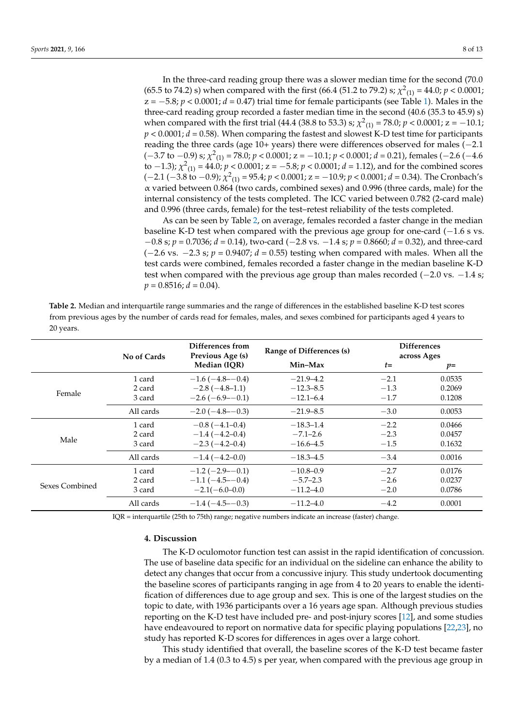In the three-card reading group there was a slower median time for the second (70.0 (65.5 to 74.2) s) when compared with the first (66.4 (51.2 to 79.2) s;  $\chi^2_{(1)} = 44.0; p < 0.0001;$  $z = -5.8$ ;  $p < 0.0001$ ;  $d = 0.47$ ) trial time for female participants (see Table [1\)](#page-6-0). Males in the three-card reading group recorded a faster median time in the second (40.6 (35.3 to 45.9) s) when compared with the first trial (44.4 (38.8 to 53.3) s;  $\chi^2_{(1)} = 78.0; p < 0.0001; z = -10.1;$  $p < 0.0001$ ;  $d = 0.58$ ). When comparing the fastest and slowest K-D test time for participants reading the three cards (age 10+ years) there were differences observed for males (−2.1 (−3.7 to −0.9) s; *χ* 2 (1) = 78.0; *p* < 0.0001; z = −10.1; *p* < 0.0001; *d* = 0.21), females (−2.6 (−4.6 to  $-1.3$ );  $\chi^2_{(1)}$  = 44.0;  $p < 0.0001$ ;  $z = -5.8$ ;  $p < 0.0001$ ;  $d = 1.12$ ), and for the combined scores (−2.1 (−3.8 to −0.9); *χ* 2 (1) = 95.4; *p* < 0.0001; z = −10.9; *p* < 0.0001; *d* = 0.34). The Cronbach's  $\alpha$  varied between 0.864 (two cards, combined sexes) and 0.996 (three cards, male) for the internal consistency of the tests completed. The ICC varied between 0.782 (2-card male) and 0.996 (three cards, female) for the test–retest reliability of the tests completed.

As can be seen by Table [2,](#page-7-0) on average, females recorded a faster change in the median baseline K-D test when compared with the previous age group for one-card  $(-1.6 \text{ s} \text{ v}s)$ . −0.8 s; *p* = 0.7036; *d* = 0.14), two-card (−2.8 vs. −1.4 s; *p* = 0.8660; *d* = 0.32), and three-card (−2.6 vs. −2.3 s; *p* = 0.9407; *d* = 0.55) testing when compared with males. When all the test cards were combined, females recorded a faster change in the median baseline K-D test when compared with the previous age group than males recorded (−2.0 vs. −1.4 s;  $p = 0.8516$ ;  $d = 0.04$ ).

<span id="page-7-0"></span>**Table 2.** Median and interquartile range summaries and the range of differences in the established baseline K-D test scores from previous ages by the number of cards read for females, males, and sexes combined for participants aged 4 years to 20 years.

|                | No of Cards | Differences from<br>Previous Age (s) | Range of Differences (s) | <b>Differences</b><br>across Ages |        |
|----------------|-------------|--------------------------------------|--------------------------|-----------------------------------|--------|
|                |             | Median (IOR)                         | Min-Max                  | $t=$                              | $p=$   |
|                | 1 card      | $-1.6(-4.8 - -0.4)$                  | $-21.9 - 4.2$            | $-2.1$                            | 0.0535 |
|                | 2 card      | $-2.8(-4.8-1.1)$                     | $-12.3 - 8.5$            | $-1.3$                            | 0.2069 |
| Female         | 3 card      | $-2.6(-6.9 - -0.1)$                  | $-12.1 - 6.4$            | $-1.7$                            | 0.1208 |
|                | All cards   | $-2.0(-4.8 - -0.3)$                  | $-21.9 - 8.5$            | $-3.0$                            | 0.0053 |
|                | 1 card      | $-0.8(-4.1-0.4)$                     | $-18.3 - 1.4$            | $-2.2$                            | 0.0466 |
|                | 2 card      | $-1.4(-4.2-0.4)$                     | $-7.1 - 2.6$             | $-2.3$                            | 0.0457 |
| Male           | 3 card      | $-2.3(-4.2-0.4)$                     | $-16.6 - 4.5$            | $-1.5$                            | 0.1632 |
|                | All cards   | $-1.4(-4.2-0.0)$                     | $-18.3 - 4.5$            | $-3.4$                            | 0.0016 |
|                | 1 card      | $-1.2$ ( $-2.9$ - $-0.1$ )           | $-10.8 - 0.9$            | $-2.7$                            | 0.0176 |
|                | 2 card      | $-1.1(-4.5-0.4)$                     | $-5.7-2.3$               | $-2.6$                            | 0.0237 |
| Sexes Combined | 3 card      | $-2.1(-6.0-0.0)$                     | $-11.2 - 4.0$            | $-2.0$                            | 0.0786 |
|                | All cards   | $-1.4(-4.5 - -0.3)$                  | $-11.2 - 4.0$            | $-4.2$                            | 0.0001 |

IQR = interquartile (25th to 75th) range; negative numbers indicate an increase (faster) change.

## **4. Discussion**

The K-D oculomotor function test can assist in the rapid identification of concussion. The use of baseline data specific for an individual on the sideline can enhance the ability to detect any changes that occur from a concussive injury. This study undertook documenting the baseline scores of participants ranging in age from 4 to 20 years to enable the identification of differences due to age group and sex. This is one of the largest studies on the topic to date, with 1936 participants over a 16 years age span. Although previous studies reporting on the K-D test have included pre- and post-injury scores [\[12\]](#page-11-7), and some studies have endeavoured to report on normative data for specific playing populations [\[22](#page-11-17)[,23\]](#page-11-18), no study has reported K-D scores for differences in ages over a large cohort.

This study identified that overall, the baseline scores of the K-D test became faster by a median of 1.4 (0.3 to 4.5) s per year, when compared with the previous age group in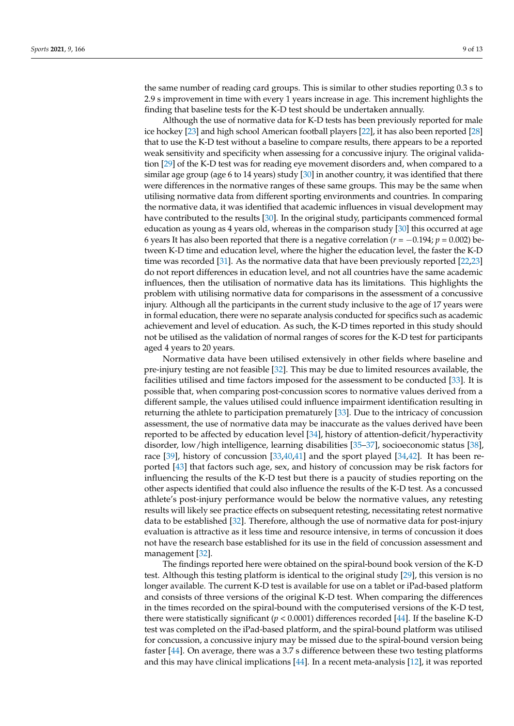the same number of reading card groups. This is similar to other studies reporting 0.3 s to 2.9 s improvement in time with every 1 years increase in age. This increment highlights the finding that baseline tests for the K-D test should be undertaken annually.

Although the use of normative data for K-D tests has been previously reported for male ice hockey [\[23\]](#page-11-18) and high school American football players [\[22\]](#page-11-17), it has also been reported [\[28\]](#page-11-23) that to use the K-D test without a baseline to compare results, there appears to be a reported weak sensitivity and specificity when assessing for a concussive injury. The original validation [\[29\]](#page-11-24) of the K-D test was for reading eye movement disorders and, when compared to a similar age group (age 6 to 14 years) study [\[30\]](#page-12-0) in another country, it was identified that there were differences in the normative ranges of these same groups. This may be the same when utilising normative data from different sporting environments and countries. In comparing the normative data, it was identified that academic influences in visual development may have contributed to the results [\[30\]](#page-12-0). In the original study, participants commenced formal education as young as 4 years old, whereas in the comparison study [\[30\]](#page-12-0) this occurred at age 6 years It has also been reported that there is a negative correlation (*r* = −0.194; *p* = 0.002) between K-D time and education level, where the higher the education level, the faster the K-D time was recorded [\[31\]](#page-12-1). As the normative data that have been previously reported [\[22](#page-11-17)[,23\]](#page-11-18) do not report differences in education level, and not all countries have the same academic influences, then the utilisation of normative data has its limitations. This highlights the problem with utilising normative data for comparisons in the assessment of a concussive injury. Although all the participants in the current study inclusive to the age of 17 years were in formal education, there were no separate analysis conducted for specifics such as academic achievement and level of education. As such, the K-D times reported in this study should not be utilised as the validation of normal ranges of scores for the K-D test for participants aged 4 years to 20 years.

Normative data have been utilised extensively in other fields where baseline and pre-injury testing are not feasible [\[32\]](#page-12-2). This may be due to limited resources available, the facilities utilised and time factors imposed for the assessment to be conducted [\[33\]](#page-12-3). It is possible that, when comparing post-concussion scores to normative values derived from a different sample, the values utilised could influence impairment identification resulting in returning the athlete to participation prematurely [\[33\]](#page-12-3). Due to the intricacy of concussion assessment, the use of normative data may be inaccurate as the values derived have been reported to be affected by education level [\[34\]](#page-12-4), history of attention-deficit/hyperactivity disorder, low/high intelligence, learning disabilities [\[35](#page-12-5)[–37\]](#page-12-6), socioeconomic status [\[38\]](#page-12-7), race [\[39\]](#page-12-8), history of concussion [\[33,](#page-12-3)[40,](#page-12-9)[41\]](#page-12-10) and the sport played [\[34,](#page-12-4)[42\]](#page-12-11). It has been reported [\[43\]](#page-12-12) that factors such age, sex, and history of concussion may be risk factors for influencing the results of the K-D test but there is a paucity of studies reporting on the other aspects identified that could also influence the results of the K-D test. As a concussed athlete's post-injury performance would be below the normative values, any retesting results will likely see practice effects on subsequent retesting, necessitating retest normative data to be established [\[32\]](#page-12-2). Therefore, although the use of normative data for post-injury evaluation is attractive as it less time and resource intensive, in terms of concussion it does not have the research base established for its use in the field of concussion assessment and management [\[32\]](#page-12-2).

The findings reported here were obtained on the spiral-bound book version of the K-D test. Although this testing platform is identical to the original study [\[29\]](#page-11-24), this version is no longer available. The current K-D test is available for use on a tablet or iPad-based platform and consists of three versions of the original K-D test. When comparing the differences in the times recorded on the spiral-bound with the computerised versions of the K-D test, there were statistically significant  $(p < 0.0001)$  differences recorded [\[44\]](#page-12-13). If the baseline K-D test was completed on the iPad-based platform, and the spiral-bound platform was utilised for concussion, a concussive injury may be missed due to the spiral-bound version being faster [\[44\]](#page-12-13). On average, there was a 3.7 s difference between these two testing platforms and this may have clinical implications [\[44\]](#page-12-13). In a recent meta-analysis [\[12\]](#page-11-7), it was reported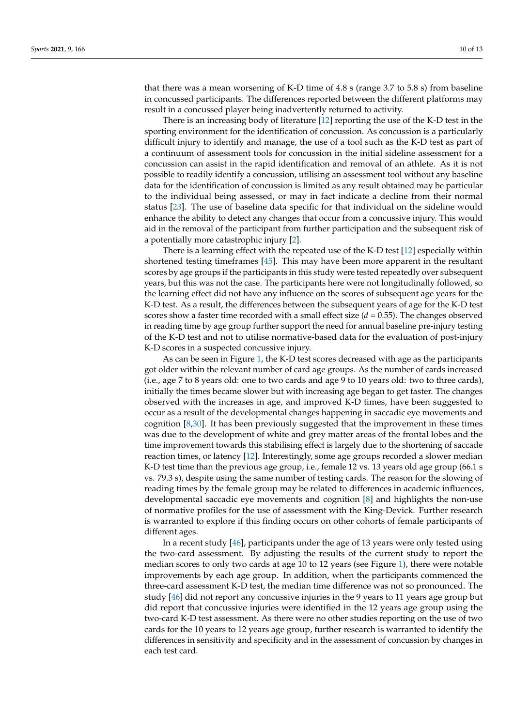that there was a mean worsening of K-D time of 4.8 s (range 3.7 to 5.8 s) from baseline in concussed participants. The differences reported between the different platforms may result in a concussed player being inadvertently returned to activity.

There is an increasing body of literature [\[12\]](#page-11-7) reporting the use of the K-D test in the sporting environment for the identification of concussion. As concussion is a particularly difficult injury to identify and manage, the use of a tool such as the K-D test as part of a continuum of assessment tools for concussion in the initial sideline assessment for a concussion can assist in the rapid identification and removal of an athlete. As it is not possible to readily identify a concussion, utilising an assessment tool without any baseline data for the identification of concussion is limited as any result obtained may be particular to the individual being assessed, or may in fact indicate a decline from their normal status [\[23\]](#page-11-18). The use of baseline data specific for that individual on the sideline would enhance the ability to detect any changes that occur from a concussive injury. This would aid in the removal of the participant from further participation and the subsequent risk of a potentially more catastrophic injury [\[2\]](#page-10-1).

There is a learning effect with the repeated use of the K-D test [\[12\]](#page-11-7) especially within shortened testing timeframes [\[45\]](#page-12-14). This may have been more apparent in the resultant scores by age groups if the participants in this study were tested repeatedly over subsequent years, but this was not the case. The participants here were not longitudinally followed, so the learning effect did not have any influence on the scores of subsequent age years for the K-D test. As a result, the differences between the subsequent years of age for the K-D test scores show a faster time recorded with a small effect size (*d* = 0.55). The changes observed in reading time by age group further support the need for annual baseline pre-injury testing of the K-D test and not to utilise normative-based data for the evaluation of post-injury K-D scores in a suspected concussive injury.

As can be seen in Figure [1,](#page-3-0) the K-D test scores decreased with age as the participants got older within the relevant number of card age groups. As the number of cards increased (i.e., age 7 to 8 years old: one to two cards and age 9 to 10 years old: two to three cards), initially the times became slower but with increasing age began to get faster. The changes observed with the increases in age, and improved K-D times, have been suggested to occur as a result of the developmental changes happening in saccadic eye movements and cognition [\[8](#page-11-3)[,30\]](#page-12-0). It has been previously suggested that the improvement in these times was due to the development of white and grey matter areas of the frontal lobes and the time improvement towards this stabilising effect is largely due to the shortening of saccade reaction times, or latency [\[12\]](#page-11-7). Interestingly, some age groups recorded a slower median K-D test time than the previous age group, i.e., female 12 vs. 13 years old age group (66.1 s vs. 79.3 s), despite using the same number of testing cards. The reason for the slowing of reading times by the female group may be related to differences in academic influences, developmental saccadic eye movements and cognition [\[8\]](#page-11-3) and highlights the non-use of normative profiles for the use of assessment with the King-Devick. Further research is warranted to explore if this finding occurs on other cohorts of female participants of different ages.

In a recent study [\[46\]](#page-12-15), participants under the age of 13 years were only tested using the two-card assessment. By adjusting the results of the current study to report the median scores to only two cards at age 10 to 12 years (see Figure [1\)](#page-3-0), there were notable improvements by each age group. In addition, when the participants commenced the three-card assessment K-D test, the median time difference was not so pronounced. The study [\[46\]](#page-12-15) did not report any concussive injuries in the 9 years to 11 years age group but did report that concussive injuries were identified in the 12 years age group using the two-card K-D test assessment. As there were no other studies reporting on the use of two cards for the 10 years to 12 years age group, further research is warranted to identify the differences in sensitivity and specificity and in the assessment of concussion by changes in each test card.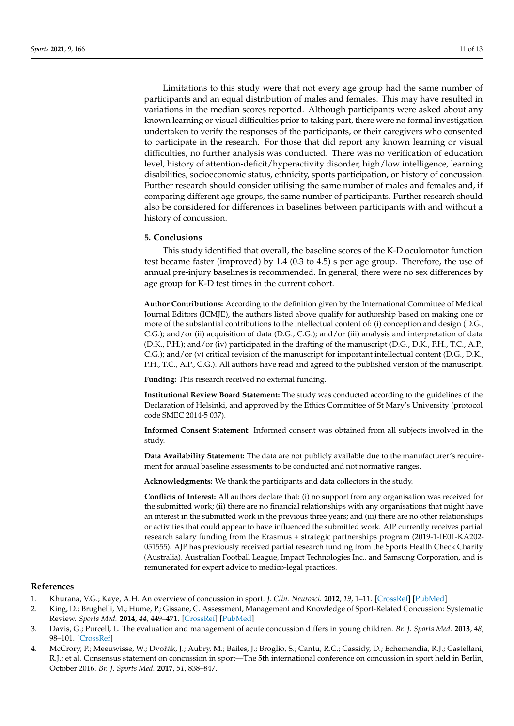Limitations to this study were that not every age group had the same number of participants and an equal distribution of males and females. This may have resulted in variations in the median scores reported. Although participants were asked about any known learning or visual difficulties prior to taking part, there were no formal investigation undertaken to verify the responses of the participants, or their caregivers who consented to participate in the research. For those that did report any known learning or visual difficulties, no further analysis was conducted. There was no verification of education level, history of attention-deficit/hyperactivity disorder, high/low intelligence, learning disabilities, socioeconomic status, ethnicity, sports participation, or history of concussion. Further research should consider utilising the same number of males and females and, if comparing different age groups, the same number of participants. Further research should also be considered for differences in baselines between participants with and without a history of concussion.

#### **5. Conclusions**

This study identified that overall, the baseline scores of the K-D oculomotor function test became faster (improved) by 1.4 (0.3 to 4.5) s per age group. Therefore, the use of annual pre-injury baselines is recommended. In general, there were no sex differences by age group for K-D test times in the current cohort.

**Author Contributions:** According to the definition given by the International Committee of Medical Journal Editors (ICMJE), the authors listed above qualify for authorship based on making one or more of the substantial contributions to the intellectual content of: (i) conception and design (D.G., C.G.); and/or (ii) acquisition of data (D.G., C.G.); and/or (iii) analysis and interpretation of data (D.K., P.H.); and/or (iv) participated in the drafting of the manuscript (D.G., D.K., P.H., T.C., A.P., C.G.); and/or (v) critical revision of the manuscript for important intellectual content (D.G., D.K., P.H., T.C., A.P., C.G.). All authors have read and agreed to the published version of the manuscript.

**Funding:** This research received no external funding.

**Institutional Review Board Statement:** The study was conducted according to the guidelines of the Declaration of Helsinki, and approved by the Ethics Committee of St Mary's University (protocol code SMEC 2014-5 037).

**Informed Consent Statement:** Informed consent was obtained from all subjects involved in the study.

**Data Availability Statement:** The data are not publicly available due to the manufacturer's requirement for annual baseline assessments to be conducted and not normative ranges.

**Acknowledgments:** We thank the participants and data collectors in the study.

**Conflicts of Interest:** All authors declare that: (i) no support from any organisation was received for the submitted work; (ii) there are no financial relationships with any organisations that might have an interest in the submitted work in the previous three years; and (iii) there are no other relationships or activities that could appear to have influenced the submitted work. AJP currently receives partial research salary funding from the Erasmus + strategic partnerships program (2019-1-IE01-KA202- 051555). AJP has previously received partial research funding from the Sports Health Check Charity (Australia), Australian Football League, Impact Technologies Inc., and Samsung Corporation, and is remunerated for expert advice to medico-legal practices.

#### **References**

- <span id="page-10-0"></span>1. Khurana, V.G.; Kaye, A.H. An overview of concussion in sport. *J. Clin. Neurosci.* **2012**, *19*, 1–11. [\[CrossRef\]](http://doi.org/10.1016/j.jocn.2011.08.002) [\[PubMed\]](http://www.ncbi.nlm.nih.gov/pubmed/22153800)
- <span id="page-10-1"></span>2. King, D.; Brughelli, M.; Hume, P.; Gissane, C. Assessment, Management and Knowledge of Sport-Related Concussion: Systematic Review. *Sports Med.* **2014**, *44*, 449–471. [\[CrossRef\]](http://doi.org/10.1007/s40279-013-0134-x) [\[PubMed\]](http://www.ncbi.nlm.nih.gov/pubmed/24403125)
- <span id="page-10-2"></span>3. Davis, G.; Purcell, L. The evaluation and management of acute concussion differs in young children. *Br. J. Sports Med.* **2013**, *48*, 98–101. [\[CrossRef\]](http://doi.org/10.1136/bjsports-2012-092132)
- <span id="page-10-3"></span>4. McCrory, P.; Meeuwisse, W.; Dvoˇrák, J.; Aubry, M.; Bailes, J.; Broglio, S.; Cantu, R.C.; Cassidy, D.; Echemendia, R.J.; Castellani, R.J.; et al. Consensus statement on concussion in sport—The 5th international conference on concussion in sport held in Berlin, October 2016. *Br. J. Sports Med.* **2017**, *51*, 838–847.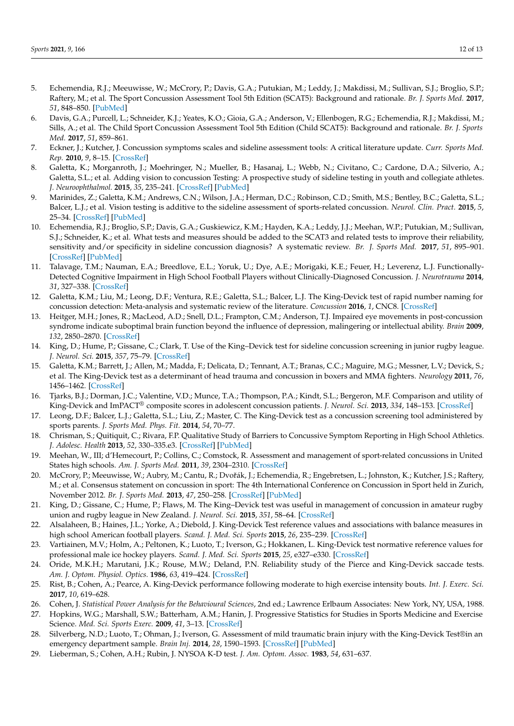- <span id="page-11-0"></span>5. Echemendia, R.J.; Meeuwisse, W.; McCrory, P.; Davis, G.A.; Putukian, M.; Leddy, J.; Makdissi, M.; Sullivan, S.J.; Broglio, S.P.; Raftery, M.; et al. The Sport Concussion Assessment Tool 5th Edition (SCAT5): Background and rationale. *Br. J. Sports Med.* **2017**, *51*, 848–850. [\[PubMed\]](http://www.ncbi.nlm.nih.gov/pubmed/28446453)
- <span id="page-11-1"></span>6. Davis, G.A.; Purcell, L.; Schneider, K.J.; Yeates, K.O.; Gioia, G.A.; Anderson, V.; Ellenbogen, R.G.; Echemendia, R.J.; Makdissi, M.; Sills, A.; et al. The Child Sport Concussion Assessment Tool 5th Edition (Child SCAT5): Background and rationale. *Br. J. Sports Med.* **2017**, *51*, 859–861.
- <span id="page-11-2"></span>7. Eckner, J.; Kutcher, J. Concussion symptoms scales and sideline assessment tools: A critical literature update. *Curr. Sports Med. Rep.* **2010**, *9*, 8–15. [\[CrossRef\]](http://doi.org/10.1249/JSR.0b013e3181caa778)
- <span id="page-11-3"></span>8. Galetta, K.; Morganroth, J.; Moehringer, N.; Mueller, B.; Hasanaj, L.; Webb, N.; Civitano, C.; Cardone, D.A.; Silverio, A.; Galetta, S.L.; et al. Adding vision to concussion Testing: A prospective study of sideline testing in youth and collegiate athletes. *J. Neuroophthalmol.* **2015**, *35*, 235–241. [\[CrossRef\]](http://doi.org/10.1097/WNO.0000000000000226) [\[PubMed\]](http://www.ncbi.nlm.nih.gov/pubmed/25742059)
- <span id="page-11-4"></span>9. Marinides, Z.; Galetta, K.M.; Andrews, C.N.; Wilson, J.A.; Herman, D.C.; Robinson, C.D.; Smith, M.S.; Bentley, B.C.; Galetta, S.L.; Balcer, L.J.; et al. Vision testing is additive to the sideline assessment of sports-related concussion. *Neurol. Clin. Pract.* **2015**, *5*, 25–34. [\[CrossRef\]](http://doi.org/10.1212/CPJ.0000000000000060) [\[PubMed\]](http://www.ncbi.nlm.nih.gov/pubmed/29443175)
- <span id="page-11-5"></span>10. Echemendia, R.J.; Broglio, S.P.; Davis, G.A.; Guskiewicz, K.M.; Hayden, K.A.; Leddy, J.J.; Meehan, W.P.; Putukian, M.; Sullivan, S.J.; Schneider, K.; et al. What tests and measures should be added to the SCAT3 and related tests to improve their reliability, sensitivity and/or specificity in sideline concussion diagnosis? A systematic review. *Br. J. Sports Med.* **2017**, *51*, 895–901. [\[CrossRef\]](http://doi.org/10.1136/bjsports-2016-097466) [\[PubMed\]](http://www.ncbi.nlm.nih.gov/pubmed/29098982)
- <span id="page-11-6"></span>11. Talavage, T.M.; Nauman, E.A.; Breedlove, E.L.; Yoruk, U.; Dye, A.E.; Morigaki, K.E.; Feuer, H.; Leverenz, L.J. Functionally-Detected Cognitive Impairment in High School Football Players without Clinically-Diagnosed Concussion. *J. Neurotrauma* **2014**, *31*, 327–338. [\[CrossRef\]](http://doi.org/10.1089/neu.2010.1512)
- <span id="page-11-7"></span>12. Galetta, K.M.; Liu, M.; Leong, D.F.; Ventura, R.E.; Galetta, S.L.; Balcer, L.J. The King-Devick test of rapid number naming for concussion detection: Meta-analysis and systematic review of the literature. *Concussion* **2016**, *1*, CNC8. [\[CrossRef\]](http://doi.org/10.2217/cnc.15.8)
- <span id="page-11-8"></span>13. Heitger, M.H.; Jones, R.; MacLeod, A.D.; Snell, D.L.; Frampton, C.M.; Anderson, T.J. Impaired eye movements in post-concussion syndrome indicate suboptimal brain function beyond the influence of depression, malingering or intellectual ability. *Brain* **2009**, *132*, 2850–2870. [\[CrossRef\]](http://doi.org/10.1093/brain/awp181)
- <span id="page-11-9"></span>14. King, D.; Hume, P.; Gissane, C.; Clark, T. Use of the King–Devick test for sideline concussion screening in junior rugby league. *J. Neurol. Sci.* **2015**, *357*, 75–79. [\[CrossRef\]](http://doi.org/10.1016/j.jns.2015.06.069)
- <span id="page-11-10"></span>15. Galetta, K.M.; Barrett, J.; Allen, M.; Madda, F.; Delicata, D.; Tennant, A.T.; Branas, C.C.; Maguire, M.G.; Messner, L.V.; Devick, S.; et al. The King-Devick test as a determinant of head trauma and concussion in boxers and MMA fighters. *Neurology* **2011**, *76*, 1456–1462. [\[CrossRef\]](http://doi.org/10.1212/WNL.0b013e31821184c9)
- <span id="page-11-11"></span>16. Tjarks, B.J.; Dorman, J.C.; Valentine, V.D.; Munce, T.A.; Thompson, P.A.; Kindt, S.L.; Bergeron, M.F. Comparison and utility of King-Devick and ImPACT® composite scores in adolescent concussion patients. *J. Neurol. Sci.* **2013**, *334*, 148–153. [\[CrossRef\]](http://doi.org/10.1016/j.jns.2013.08.015)
- <span id="page-11-12"></span>17. Leong, D.F.; Balcer, L.J.; Galetta, S.L.; Liu, Z.; Master, C. The King-Devick test as a concussion screening tool administered by sports parents. *J. Sports Med. Phys. Fit.* **2014**, *54*, 70–77.
- <span id="page-11-13"></span>18. Chrisman, S.; Quitiquit, C.; Rivara, F.P. Qualitative Study of Barriers to Concussive Symptom Reporting in High School Athletics. *J. Adolesc. Health* **2013**, *52*, 330–335.e3. [\[CrossRef\]](http://doi.org/10.1016/j.jadohealth.2012.10.271) [\[PubMed\]](http://www.ncbi.nlm.nih.gov/pubmed/23427783)
- <span id="page-11-14"></span>19. Meehan, W., III; d'Hemecourt, P.; Collins, C.; Comstock, R. Assessment and management of sport-related concussions in United States high schools. *Am. J. Sports Med.* **2011**, *39*, 2304–2310. [\[CrossRef\]](http://doi.org/10.1177/0363546511423503)
- <span id="page-11-15"></span>20. McCrory, P.; Meeuwisse, W.; Aubry, M.; Cantu, R.; Dvořák, J.; Echemendia, R.; Engebretsen, L.; Johnston, K.; Kutcher, J.S.; Raftery, M.; et al. Consensus statement on concussion in sport: The 4th International Conference on Concussion in Sport held in Zurich, November 2012. *Br. J. Sports Med.* **2013**, *47*, 250–258. [\[CrossRef\]](http://doi.org/10.1136/bjsports-2013-092313) [\[PubMed\]](http://www.ncbi.nlm.nih.gov/pubmed/23479479)
- <span id="page-11-16"></span>21. King, D.; Gissane, C.; Hume, P.; Flaws, M. The King–Devick test was useful in management of concussion in amateur rugby union and rugby league in New Zealand. *J. Neurol. Sci.* **2015**, *351*, 58–64. [\[CrossRef\]](http://doi.org/10.1016/j.jns.2015.02.035)
- <span id="page-11-17"></span>22. Alsalaheen, B.; Haines, J.L.; Yorke, A.; Diebold, J. King-Devick Test reference values and associations with balance measures in high school American football players. *Scand. J. Med. Sci. Sports* **2015**, *26*, 235–239. [\[CrossRef\]](http://doi.org/10.1111/sms.12628)
- <span id="page-11-18"></span>23. Vartiainen, M.V.; Holm, A.; Peltonen, K.; Luoto, T.; Iverson, G.; Hokkanen, L. King-Devick test normative reference values for professional male ice hockey players. *Scand. J. Med. Sci. Sports* **2015**, *25*, e327–e330. [\[CrossRef\]](http://doi.org/10.1111/sms.12307)
- <span id="page-11-19"></span>24. Oride, M.K.H.; Marutani, J.K.; Rouse, M.W.; Deland, P.N. Reliability study of the Pierce and King-Devick saccade tests. *Am. J. Optom. Physiol. Optics.* **1986**, *63*, 419–424. [\[CrossRef\]](http://doi.org/10.1097/00006324-198606000-00005)
- <span id="page-11-20"></span>25. Rist, B.; Cohen, A.; Pearce, A. King-Devick performance following moderate to high exercise intensity bouts. *Int. J. Exerc. Sci.* **2017**, *10*, 619–628.
- <span id="page-11-21"></span>26. Cohen, J. *Statistical Power Analysis for the Behavioural Sciences*, 2nd ed.; Lawrence Erlbaum Associates: New York, NY, USA, 1988.
- <span id="page-11-22"></span>27. Hopkins, W.G.; Marshall, S.W.; Batterham, A.M.; Hanin, J. Progressive Statistics for Studies in Sports Medicine and Exercise Science. *Med. Sci. Sports Exerc.* **2009**, *41*, 3–13. [\[CrossRef\]](http://doi.org/10.1249/MSS.0b013e31818cb278)
- <span id="page-11-23"></span>28. Silverberg, N.D.; Luoto, T.; Ohman, J.; Iverson, G. Assessment of mild traumatic brain injury with the King-Devick Test®in an emergency department sample. *Brain Inj.* **2014**, *28*, 1590–1593. [\[CrossRef\]](http://doi.org/10.3109/02699052.2014.943287) [\[PubMed\]](http://www.ncbi.nlm.nih.gov/pubmed/25093537)
- <span id="page-11-24"></span>29. Lieberman, S.; Cohen, A.H.; Rubin, J. NYSOA K-D test. *J. Am. Optom. Assoc.* **1983**, *54*, 631–637.